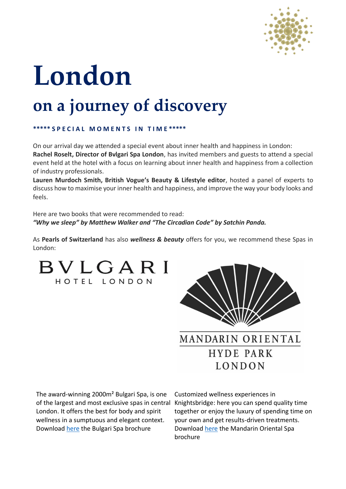

# **London on a journey of discovery**

## **\*\*\*\*\* S P E C I A L M O M E N T S I N T I M E \*\*\*\*\***

On our arrival day we attended a special event about inner health and happiness in London: **Rachel Roselt, Director of Bvlgari Spa London**, has invited members and guests to attend a special event held at the hotel with a focus on learning about inner health and happiness from a collection of industry professionals.

**Lauren Murdoch Smith, British Vogue's Beauty & Lifestyle editor**, hosted a panel of experts to discuss how to maximise your inner health and happiness, and improve the way your body looks and feels.

Here are two books that were recommended to read: *"Why we sleep" by Matthew Walker and "The Circadian Code" by Satchin Panda.* 

As **Pearls of Switzerland** has also *wellness & beauty* offers for you, we recommend these Spas in London:

BVLGARI HOTEL LONDON



The award-winning 2000m² Bulgari Spa, is one of the largest and most exclusive spas in central Knightsbridge: here you can spend quality time London. It offers the best for body and spirit wellness in a sumptuous and elegant context. Download [here](https://photos.mandarinoriental.com/is/content/MandarinOriental/london-the-spa-brochure) the Bulgari Spa brochure Download here the Mandarin Oriental Spa

Customized wellness experiences in together or enjoy the luxury of spending time on your own and get results-driven treatments. brochure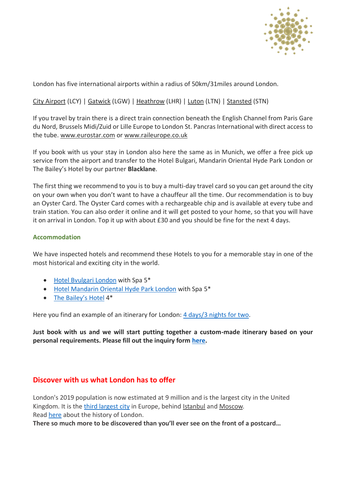

London has five international airports within a radius of 50km/31miles around London.

# [City Airport](http://www.londoncityairport.com/) (LCY) | [Gatwick](http://www.gatwickairport.com/) (LGW) [| Heathrow](http://www.heathrowairport.com/) (LHR) | [Luton](http://www.london-luton.co.uk/) (LTN) | [Stansted](http://www.stanstedairport.com/) (STN)

If you travel by train there is a direct train connection beneath the English Channel from Paris Gare du Nord, Brussels Midi/Zuid or Lille Europe to London St. Pancras International with direct access to the tube. [www.eurostar.com](http://www.eurostar.com/) or [www.raileurope.co.uk](http://www.raileurope.co.uk/)

If you book with us your stay in London also here the same as in Munich, we offer a free pick up service from the airport and transfer to the Hotel Bulgari, Mandarin Oriental Hyde Park London or The Bailey's Hotel by our partner **Blacklane**.

The first thing we recommend to you is to buy a multi-day travel card so you can get around the city on your own when you don't want to have a chauffeur all the time. Our recommendation is to buy an Oyster Card. The Oyster Card comes with a rechargeable chip and is available at every tube and train station. You can also order it online and it will get posted to your home, so that you will have it on arrival in London. Top it up with about £30 and you should be fine for the next 4 days.

#### **Accommodation**

We have inspected hotels and recommend these Hotels to you for a memorable stay in one of the most historical and exciting city in the world.

- [Hotel Bvulgari London](https://www.pearlsofswitzerland.com/hotel-bulgari-london) with Spa 5\*
- [Hotel Mandarin Oriental Hyde Park London](https://www.pearlsofswitzerland.com/mandarin-oriental-london) with Spa 5\*
- [The Bailey's Hotel](https://www.pearlsofswitzerland.com/hotel-baileys-london) 4\*

Here you find an example of an itinerary for London: [4 days/3 nights for two.](https://docs.wixstatic.com/ugd/661919_40cb61ebbfef434ba5792407529b945f.pdf)

**Just book with us and we will start putting together a custom-made itinerary based on your personal requirements. Please fill out the inquiry form [here.](https://www.pearlsofswitzerland.com/inquiryform)**

# **Discover with us what London has to offer**

London's 2019 population is now estimated at 9 million and is the largest city in the United Kingdom. It is the [third largest city](http://worldpopulationreview.com/world-cities/london-population/) in Europe, behind [Istanbul](http://worldpopulationreview.com/world-cities/istanbul-population/) and [Moscow.](http://worldpopulationreview.com/world-cities/moscow-population/) Rea[d here](https://en.wikipedia.org/wiki/History_of_London) about the history of London.

**There so much more to be discovered than you'll ever see on the front of a postcard…**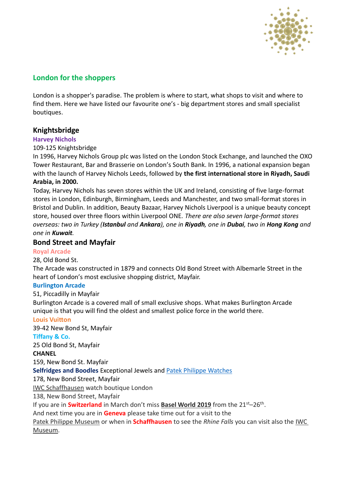

# **London for the shoppers**

London is a shopper's paradise. The problem is where to start, what shops to visit and where to find them. Here we have listed our favourite one's - big department stores and small specialist boutiques.

# **Knightsbridge**

#### **Harvey Nichols**

#### 109-125 Knightsbridge

In 1996, Harvey Nichols Group plc was listed on the London Stock Exchange, and launched the OXO Tower Restaurant, Bar and Brasserie on London's South Bank. In 1996, a national expansion began with the launch of Harvey Nichols Leeds, followed by **the first international store in Riyadh, Saudi Arabia, in 2000.** 

Today, Harvey Nichols has seven stores within the UK and Ireland, consisting of five large-format stores in London, Edinburgh, Birmingham, Leeds and Manchester, and two small-format stores in Bristol and Dublin. In addition, Beauty Bazaar, Harvey Nichols Liverpool is a unique beauty concept store, housed over three floors within Liverpool ONE*. There are also seven large-format stores overseas: two in Turkey (Istanbul and Ankara), one in Riyadh, one in Dubai, two in Hong Kong and one in Kuwait.*

## **Bond Street and Mayfair**

#### **Royal Arcade**

28, Old Bond St.

The Arcade was constructed in 1879 and connects Old Bond Street with Albemarle Street in the heart of London's most exclusive shopping district, Mayfair.

#### **Burlington Arcade**

51, Piccadilly in Mayfair

Burlington Arcade is a covered mall of small exclusive shops. What makes Burlington Arcade unique is that you will find the oldest and smallest police force in the world there.

#### **Louis Vuitton**

39-42 New Bond St, Mayfair

#### **Tiffany & Co.**

25 Old Bond St, Mayfair

#### **CHANEL**

159, New Bond St. Mayfair

**Selfridges and Boodles** Exceptional Jewels and [Patek Philippe Watches](https://www.boodles.com/patek-philippe/)

178, New Bond Street, Mayfair

[IWC Schaffhausen](https://stores.iwc.com/united-kingdom/london/138-new-bond-street) watch boutique London

138, New Bond Street, Mayfair

If you are in **Switzerland** in March don't miss **[Basel World 2019](https://www.baselworld.com/)** from the 21<sup>st</sup>–26<sup>th</sup>.

And next time you are in **Geneva** please take time out for a visit to the

[Patek Philippe Museum](https://www.patek.com/en/company/patek-philippe-museum) or when in **Schaffhausen** to see the *Rhine Falls* you can visit also the [IWC](https://www.iwc.com/ch/en/company/museum.html)  [Museum.](https://www.iwc.com/ch/en/company/museum.html)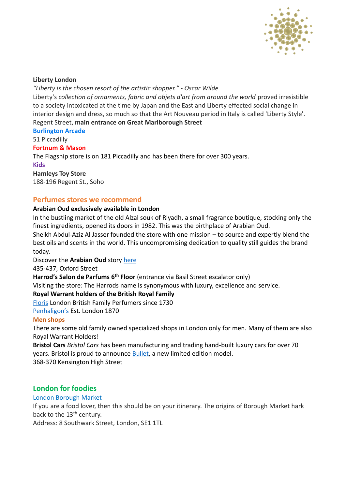

#### **Liberty London**

#### *"Liberty is the chosen resort of the artistic shopper." - Oscar Wilde*

Liberty's *collection of ornaments, fabric and objets d'art from around the world* proved irresistible to a society intoxicated at the time by Japan and the East and Liberty effected social change in interior design and dress, so much so that the Art Nouveau period in Italy is called 'Liberty Style'. Regent Street, **main entrance on Great Marlborough Street**

**Burlington Arcade**

51 Piccadilly

#### **Fortnum & Mason**

The Flagship store is on 181 Piccadilly and has been there for over 300 years. **Kids Hamleys Toy Store**

188-196 Regent St., Soho

# **Perfumes stores we recommend**

#### **Arabian Oud exclusively available in London**

In the bustling market of the old Alzal souk of Riyadh, a small fragrance boutique, stocking only the finest ingredients, opened its doors in 1982. This was the birthplace of Arabian Oud.

Sheikh Abdul-Aziz Al Jasser founded the store with one mission – to source and expertly blend the best oils and scents in the world. This uncompromising dedication to quality still guides the brand today.

Discover the **Arabian Oud** story [here](https://www.arabianoud.co.uk/our-story)

435-437, Oxford Street

**Harrod's Salon de Parfums 6th Floor** (entrance via Basil Street escalator only)

Visiting the store: The Harrods name is synonymous with luxury, excellence and service.

#### **Royal Warrant holders of the British Royal Family**

[Floris](https://www.florislondon.com/) London British Family Perfumers since 1730

[Penhaligon's](https://www.penhaligons.com/) Est. London 1870

#### **Men shops**

There are some old family owned specialized shops in London only for men. Many of them are also Royal Warrant Holders!

**Bristol Cars** *Bristol Cars* has been manufacturing and trading hand-built luxury cars for over 70 years. Bristol is proud to announce [Bullet,](https://bristolcars.co.uk/bullet/) a new limited edition model. 368-370 Kensington High Street

# **London for foodies**

#### London Borough Market

If you are a food lover, then this should be on your itinerary. The origins of Borough Market hark back to the 13<sup>th</sup> century.

Address: 8 Southwark Street, London, SE1 1TL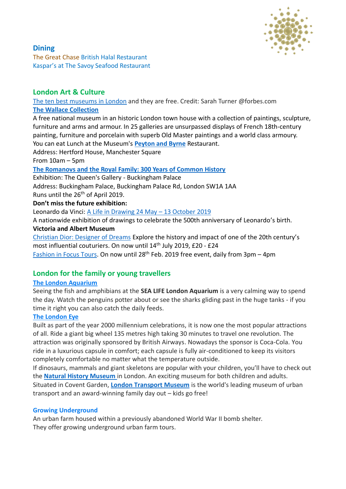

## **Dining**  [The Great Chase](https://www.pearlsofswitzerland.com/the-great-chase-british-halal-resta?utm_campaign=4c1cdeb6-bd57-43be-8cbe-fd8f73b4b1da&utm_source=so) British Halal Restaurant Kaspar's at The Savoy Seafood Restaurant

# **London Art & Culture**

[The ten best museums in London](https://www.forbes.com/sites/sarahturner/2017/03/25/the-ten-best-museums-in-london-and-theyre-free/#bb699ff75cf0) and they are free. Credit: Sarah Turner @forbes.com **[The Wallace Collection](https://www.wallacecollection.org/)**

A free national museum in an historic London town house with a collection of paintings, sculpture, furniture and arms and armour. In 25 galleries are unsurpassed displays of French 18th-century painting, furniture and porcelain with superb Old Master paintings and a world class armoury. You can eat Lunch at the Museum's **[Peyton and Byrne](https://www.wallacecollection.org/visit/food-and-drink/)** Restaurant.

Address: Hertford House, Manchester Square

## From 10am – 5pm

## **[The Romanovs and the Royal Family: 300 Years of Common History](https://www.rct.uk/collection/themes/exhibitions/russia-royalty-the-romanovs/the-queens-gallery-buckingham-palace)**

Exhibition: The Queen's Gallery - Buckingham Palace Address: Buckingham Palace, Buckingham Palace Rd, London SW1A 1AA Runs until the 26<sup>th</sup> of April 2019.

## **Don't miss the future exhibition:**

Leonardo da Vinci: A Life in Drawing 24 May - 13 October 2019

A nationwide exhibition of drawings to celebrate the 500th anniversary of Leonardo's birth.

## **Victoria and Albert Museum**

[Christian Dior: Designer of Dreams](https://www.vam.ac.uk/exhibitions/dior-designer-of-dreams) Explore the history and impact of one of the 20th century's most influential couturiers. On now until 14th July 2019, £20 - £24 [Fashion in Focus Tours.](https://www.vam.ac.uk/event/0YdER0DB/fashion-in-focus-tours) On now until 28<sup>th</sup> Feb. 2019 free event, daily from 3pm - 4pm

# **London for the family or young travellers**

# **[The London Aquarium](https://www.visitsealife.com/london/)**

Seeing the fish and amphibians at the **[SEA LIFE London Aquarium](https://www.visitsealife.com/london/#_blank)** is a very calming way to spend the day. Watch the penguins potter about or see the sharks gliding past in the huge tanks - if you time it right you can also catch the daily feeds.

# **[The London Eye](https://www.londoneye.com/)**

Built as part of the year 2000 millennium celebrations, it is now one the most popular attractions of all. Ride a giant big wheel 135 metres high taking 30 minutes to travel one revolution. The attraction was originally sponsored by British Airways. Nowadays the sponsor is Coca-Cola. You ride in a luxurious capsule in comfort; each capsule is fully air-conditioned to keep its visitors completely comfortable no matter what the temperature outside.

If dinosaurs, mammals and giant skeletons are popular with your children, you'll have to check out the **[Natural History Museum](http://www.nhm.ac.uk/)** in London. An exciting museum for both children and adults. Situated in Covent Garden, **[London Transport Museum](https://www.ltmuseum.co.uk/)** is the world's leading museum of urban transport and an award-winning family day out – kids go free!

# **Growing Underground**

An urban farm housed within a previously abandoned World War II bomb shelter. They offer growing underground urban farm tours.